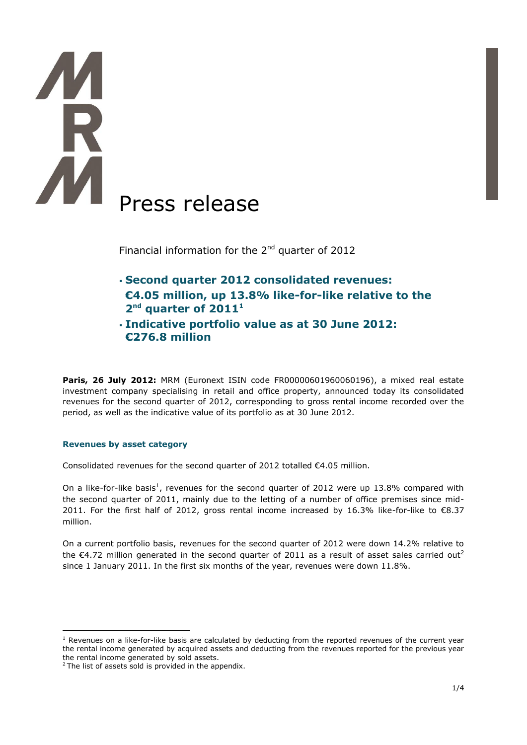# Press release

Financial information for the  $2<sup>nd</sup>$  quarter of 2012

- **Second quarter 2012 consolidated revenues: €4.05 million, up 13.8% like-for-like relative to the**   $2<sup>nd</sup>$  quarter of  $2011<sup>1</sup>$
- **Indicative portfolio value as at 30 June 2012: €276.8 million**

**Paris, 26 July 2012: MRM (Euronext ISIN code FR00000601960060196), a mixed real estate** investment company specialising in retail and office property, announced today its consolidated revenues for the second quarter of 2012, corresponding to gross rental income recorded over the period, as well as the indicative value of its portfolio as at 30 June 2012.

# **Revenues by asset category**

Consolidated revenues for the second quarter of 2012 totalled €4.05 million.

On a like-for-like basis<sup>1</sup>, revenues for the second quarter of 2012 were up 13.8% compared with the second quarter of 2011, mainly due to the letting of a number of office premises since mid-2011. For the first half of 2012, gross rental income increased by 16.3% like-for-like to €8.37 million.

On a current portfolio basis, revenues for the second quarter of 2012 were down 14.2% relative to the  $\epsilon$ 4.72 million generated in the second quarter of 2011 as a result of asset sales carried out<sup>2</sup> since 1 January 2011. In the first six months of the year, revenues were down 11.8%.

1

 $<sup>1</sup>$  Revenues on a like-for-like basis are calculated by deducting from the reported revenues of the current year</sup> the rental income generated by acquired assets and deducting from the revenues reported for the previous year the rental income generated by sold assets.

 $2$  The list of assets sold is provided in the appendix.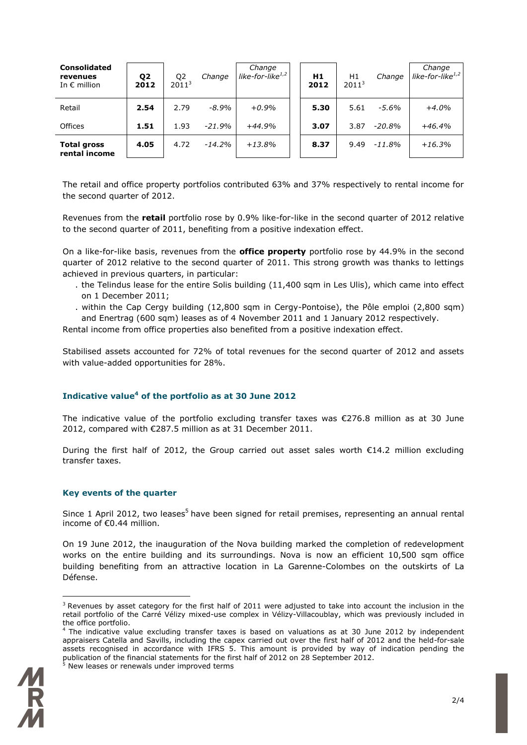| <b>Consolidated</b><br>revenues<br>In $\epsilon$ million | Q <sub>2</sub><br>2012 | Q <sub>2</sub><br>2011 <sup>3</sup> | Change   | Change<br>like-for-like $1,2$ | H1<br>2012 | H1<br>2011 <sup>3</sup> | Change   | Change<br>like-for-like $1,2$ |
|----------------------------------------------------------|------------------------|-------------------------------------|----------|-------------------------------|------------|-------------------------|----------|-------------------------------|
| Retail                                                   | 2.54                   | 2.79                                | $-8.9\%$ | $+0.9%$                       | 5.30       | 5.61                    | -5.6%    | $+4.0%$                       |
| Offices                                                  | 1.51                   | 1.93                                | $-21.9%$ | $+44.9%$                      | 3.07       | 3.87                    | $-20.8%$ | $+46.4%$                      |
| <b>Total gross</b><br>rental income                      | 4.05                   | 4.72                                | $-14.2%$ | $+13.8%$                      | 8.37       | 9.49                    | $-11.8%$ | $+16.3%$                      |

The retail and office property portfolios contributed 63% and 37% respectively to rental income for the second quarter of 2012.

Revenues from the **retail** portfolio rose by 0.9% like-for-like in the second quarter of 2012 relative to the second quarter of 2011, benefiting from a positive indexation effect.

On a like-for-like basis, revenues from the **office property** portfolio rose by 44.9% in the second quarter of 2012 relative to the second quarter of 2011. This strong growth was thanks to lettings achieved in previous quarters, in particular:

- . the Telindus lease for the entire Solis building (11,400 sqm in Les Ulis), which came into effect on 1 December 2011;
- . within the Cap Cergy building (12,800 sqm in Cergy-Pontoise), the Pôle emploi (2,800 sqm) and Enertrag (600 sqm) leases as of 4 November 2011 and 1 January 2012 respectively.

Rental income from office properties also benefited from a positive indexation effect.

Stabilised assets accounted for 72% of total revenues for the second quarter of 2012 and assets with value-added opportunities for 28%.

# **Indicative value<sup>4</sup> of the portfolio as at 30 June 2012**

The indicative value of the portfolio excluding transfer taxes was  $\epsilon$ 276.8 million as at 30 June 2012, compared with €287.5 million as at 31 December 2011.

During the first half of 2012, the Group carried out asset sales worth €14.2 million excluding transfer taxes.

### **Key events of the quarter**

Since 1 April 2012, two leases<sup>5</sup> have been signed for retail premises, representing an annual rental income of €0.44 million.

On 19 June 2012, the inauguration of the Nova building marked the completion of redevelopment works on the entire building and its surroundings. Nova is now an efficient 10,500 sqm office building benefiting from an attractive location in La Garenne-Colombes on the outskirts of La Défense.

<sup>4</sup> The indicative value excluding transfer taxes is based on valuations as at 30 June 2012 by independent appraisers Catella and Savills, including the capex carried out over the first half of 2012 and the held-for-sale assets recognised in accordance with IFRS 5. This amount is provided by way of indication pending the publication of the financial statements for the first half of 2012 on 28 September 2012. New leases or renewals under improved terms



<u>.</u>

 $3$  Revenues by asset category for the first half of 2011 were adjusted to take into account the inclusion in the retail portfolio of the Carré Vélizy mixed-use complex in Vélizy-Villacoublay, which was previously included in the office portfolio.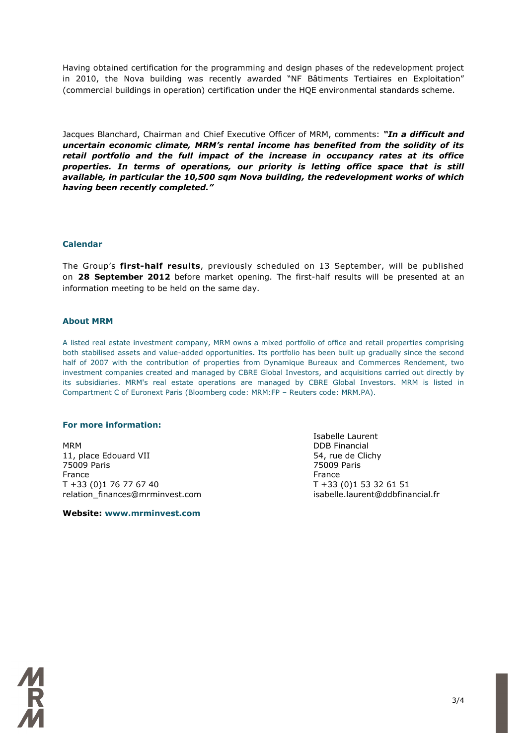Having obtained certification for the programming and design phases of the redevelopment project in 2010, the Nova building was recently awarded "NF Bâtiments Tertiaires en Exploitation" (commercial buildings in operation) certification under the HQE environmental standards scheme.

Jacques Blanchard, Chairman and Chief Executive Officer of MRM, comments: *"In a difficult and uncertain economic climate, MRM's rental income has benefited from the solidity of its retail portfolio and the full impact of the increase in occupancy rates at its office properties. In terms of operations, our priority is letting office space that is still available, in particular the 10,500 sqm Nova building, the redevelopment works of which having been recently completed."*

### **Calendar**

The Group's **first-half results**, previously scheduled on 13 September, will be published on **28 September 2012** before market opening. The first-half results will be presented at an information meeting to be held on the same day.

### **About MRM**

A listed real estate investment company, MRM owns a mixed portfolio of office and retail properties comprising both stabilised assets and value-added opportunities. Its portfolio has been built up gradually since the second half of 2007 with the contribution of properties from Dynamique Bureaux and Commerces Rendement, two investment companies created and managed by CBRE Global Investors, and acquisitions carried out directly by its subsidiaries. MRM's real estate operations are managed by CBRE Global Investors. MRM is listed in Compartment C of Euronext Paris (Bloomberg code: MRM:FP – Reuters code: MRM.PA).

### **For more information:**

MRM DDB Financial 11, place Edouard VII 64, rue de Clichy 75009 Paris 75009 Paris France **France France France** T +33 (0)1 76 77 67 40 T +33 (0)1 53 32 61 51 relation\_finances@mrminvest.com isabelle.laurent@ddbfinancial.fr

**Website: www.mrminvest.com**

Isabelle Laurent